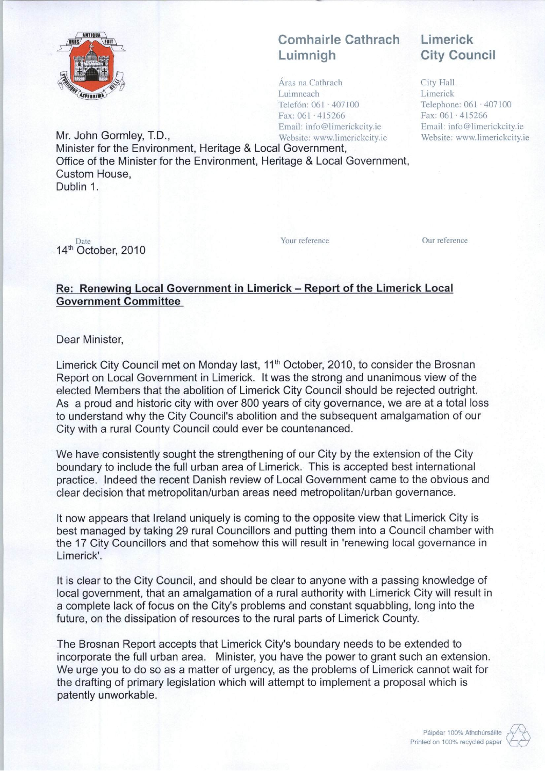

## Comhairle Cathrach Luimnigh

Aras na Cathrach Luimneach Telefón: 061 · 407100 Fax: 061 -415266 Email: info@limerickcity.ie

## Limerick City Council

City Hall Limerick Telephone: 061 '407100 Fax:061-415266 Email: info@limerickcity.ie Website: www.limerickcity.ie

Mr. John Gormley, T.D., Website: www.limerickcity.ie Minister for the Environment, Heritage & Local Government, Office of the Minister for the Environment, Heritage & Local Government, Custom House, Dublin 1.

Date Your reference Our reference 14<sup>th</sup> October, 2010

## Re: Renewing Local Government in Limerick - Report of the Limerick Local Government Committee

Dear Minister,

Limerick City Council met on Monday last, 11<sup>th</sup> October, 2010, to consider the Brosnan Report on Local Government in Limerick. It was the strong and unanimous view of the elected Members that the abolition of Limerick City Council should be rejected outright. As a proud and historic city with over 800 years of city governance, we are at a total loss to understand why the City Council's abolition and the subsequent amalgamation of our City with a rural County Council could ever be countenanced.

We have consistently sought the strengthening of our City by the extension of the City boundary to include the full urban area of Limerick. This is accepted best international practice. Indeed the recent Danish review of Local Government came to the obvious and clear decision that metropolitan/urban areas need metropolitan/urban governance.

It now appears that Ireland uniquely is coming to the opposite view that Limerick City is best managed by taking 29 rural Councillors and putting them into a Council chamber with the 17 City Councillors and that somehow this will result in 'renewing local governance in Limerick'.

It is clear to the City Council, and should be clear to anyone with a passing knowledge of local government, that an amalgamation of a rural authority with Limerick City will result in a complete lack of focus on the City's problems and constant squabbling, long into the future, on the dissipation of resources to the rural parts of Limerick County.

The Brosnan Report accepts that Limerick City's boundary needs to be extended to incorporate the full urban area. Minister, you have the power to grant such an extension. We urge you to do so as a matter of urgency, as the problems of Limerick cannot wait for the drafting of primary legislation which will attempt to implement a proposal which is patently unworkable.